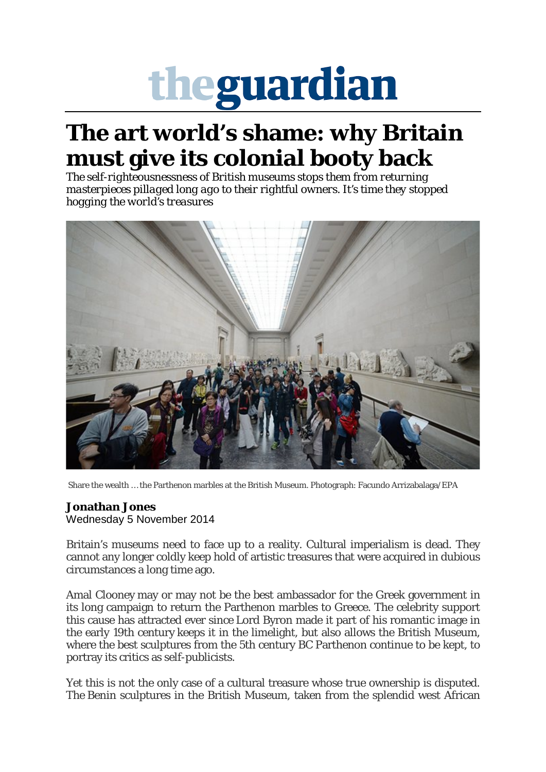## theguardian

## **The art world's shame: why Britain must give its colonial booty back**

*The self-righteousnessness of British museums stops them from returning masterpieces pillaged long ago to their rightful owners. It's time they stopped hogging the world's treasures*



Share the wealth … the Parthenon marbles at the British Museum. Photograph: Facundo Arrizabalaga/EPA

## **Jonathan Jones**

Wednesday 5 November 2014

Britain's museums need to face up to a reality. Cultural imperialism is dead. They cannot any longer coldly keep hold of artistic treasures that were acquired in dubious circumstances a long time ago.

Amal Clooney may or may not be the best ambassador for the Greek government in its long campaign to return the Parthenon marbles to Greece. The celebrity support this cause has attracted ever since Lord Byron made it part of his romantic image in the early 19th century keeps it in the limelight, but also allows the British Museum, where the best sculptures from the 5th century BC Parthenon continue to be kept, to portray its critics as self-publicists.

Yet this is not the only case of a cultural treasure whose true ownership is disputed. The Benin sculptures in the British Museum, taken from the splendid west African